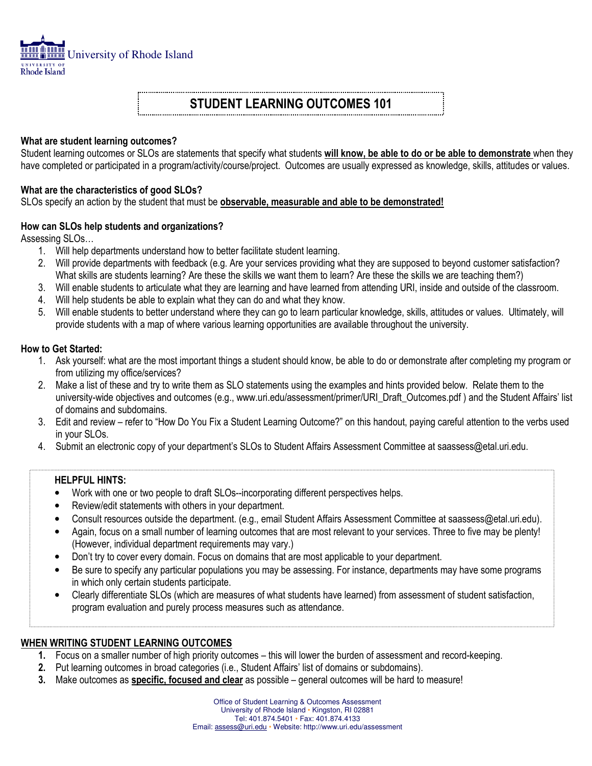

# STUDENT LEARNING OUTCOMES 101

#### What are student learning outcomes?

Student learning outcomes or SLOs are statements that specify what students will know, be able to do or be able to demonstrate when they have completed or participated in a program/activity/course/project. Outcomes are usually expressed as knowledge, skills, attitudes or values.

#### What are the characteristics of good SLOs?

SLOs specify an action by the student that must be **observable, measurable and able to be demonstrated!** 

#### How can SLOs help students and organizations?

Assessing SLOs…

- 1. Will help departments understand how to better facilitate student learning.
- 2. Will provide departments with feedback (e.g. Are your services providing what they are supposed to beyond customer satisfaction? What skills are students learning? Are these the skills we want them to learn? Are these the skills we are teaching them?)
- 3. Will enable students to articulate what they are learning and have learned from attending URI, inside and outside of the classroom.
- 4. Will help students be able to explain what they can do and what they know.
- 5. Will enable students to better understand where they can go to learn particular knowledge, skills, attitudes or values. Ultimately, will provide students with a map of where various learning opportunities are available throughout the university.

#### How to Get Started:

- 1. Ask yourself: what are the most important things a student should know, be able to do or demonstrate after completing my program or from utilizing my office/services?
- 2. Make a list of these and try to write them as SLO statements using the examples and hints provided below. Relate them to the university-wide objectives and outcomes (e.g., www.uri.edu/assessment/primer/URI\_Draft\_Outcomes.pdf) and the Student Affairs' list of domains and subdomains.
- 3. Edit and review refer to "How Do You Fix a Student Learning Outcome?" on this handout, paying careful attention to the verbs used in your SLOs.
- 4. Submit an electronic copy of your department's SLOs to Student Affairs Assessment Committee at saassess@etal.uri.edu.

#### HELPFUL HINTS:

- Work with one or two people to draft SLOs--incorporating different perspectives helps.
- Review/edit statements with others in your department.
- Consult resources outside the department. (e.g., email Student Affairs Assessment Committee at saassess@etal.uri.edu).
- Again, focus on a small number of learning outcomes that are most relevant to your services. Three to five may be plenty! (However, individual department requirements may vary.)
- Don't try to cover every domain. Focus on domains that are most applicable to your department.
- Be sure to specify any particular populations you may be assessing. For instance, departments may have some programs in which only certain students participate.
- Clearly differentiate SLOs (which are measures of what students have learned) from assessment of student satisfaction, program evaluation and purely process measures such as attendance.

### WHEN WRITING STUDENT LEARNING OUTCOMES

- 1. Focus on a smaller number of high priority outcomes this will lower the burden of assessment and record-keeping.
- 2. Put learning outcomes in broad categories (i.e., Student Affairs' list of domains or subdomains).
- 3. Make outcomes as specific, focused and clear as possible general outcomes will be hard to measure!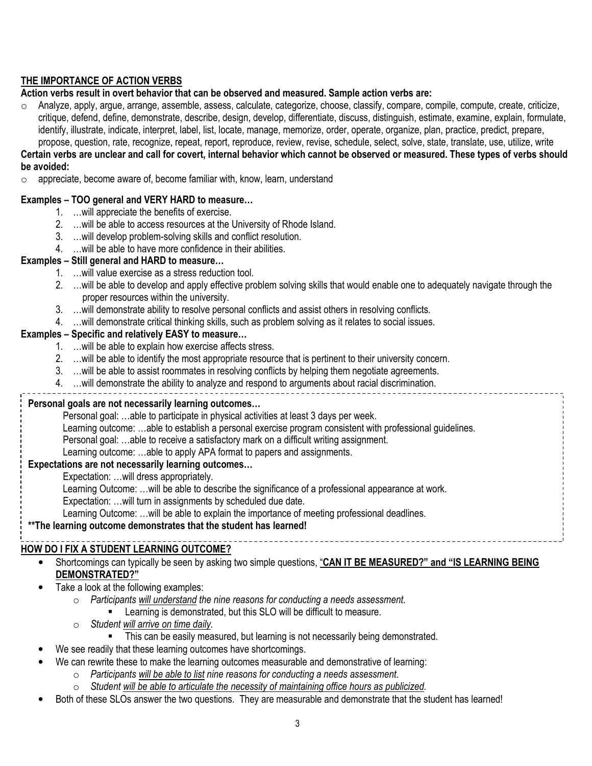## THE IMPORTANCE OF ACTION VERBS

#### Action verbs result in overt behavior that can be observed and measured. Sample action verbs are:

o Analyze, apply, argue, arrange, assemble, assess, calculate, categorize, choose, classify, compare, compile, compute, create, criticize, critique, defend, define, demonstrate, describe, design, develop, differentiate, discuss, distinguish, estimate, examine, explain, formulate, identify, illustrate, indicate, interpret, label, list, locate, manage, memorize, order, operate, organize, plan, practice, predict, prepare, propose, question, rate, recognize, repeat, report, reproduce, review, revise, schedule, select, solve, state, translate, use, utilize, write

#### Certain verbs are unclear and call for covert, internal behavior which cannot be observed or measured. These types of verbs should be avoided:

 $\circ$  appreciate, become aware of, become familiar with, know, learn, understand

#### Examples – TOO general and VERY HARD to measure…

- 1. …will appreciate the benefits of exercise.
- 2. …will be able to access resources at the University of Rhode Island.
- 3. …will develop problem-solving skills and conflict resolution.
- 4. …will be able to have more confidence in their abilities.

#### Examples – Still general and HARD to measure…

- 1. …will value exercise as a stress reduction tool.
- 2. …will be able to develop and apply effective problem solving skills that would enable one to adequately navigate through the proper resources within the university.
- 3. …will demonstrate ability to resolve personal conflicts and assist others in resolving conflicts.
- 4. …will demonstrate critical thinking skills, such as problem solving as it relates to social issues.

#### Examples – Specific and relatively EASY to measure…

- 1. …will be able to explain how exercise affects stress.
- 2. …will be able to identify the most appropriate resource that is pertinent to their university concern.
- 3. …will be able to assist roommates in resolving conflicts by helping them negotiate agreements.
- 4. …will demonstrate the ability to analyze and respond to arguments about racial discrimination.

| Personal goals are not necessarily learning outcomes                                                      |  |  |  |  |  |
|-----------------------------------------------------------------------------------------------------------|--|--|--|--|--|
| . . Descended and by the late of all the state to all sets of a still the still and O shares a consequent |  |  |  |  |  |

Personal goal: …able to participate in physical activities at least 3 days per week.

- Learning outcome: …able to establish a personal exercise program consistent with professional guidelines.
- Personal goal: …able to receive a satisfactory mark on a difficult writing assignment.
- Learning outcome: …able to apply APA format to papers and assignments.

### Expectations are not necessarily learning outcomes…

- Expectation: …will dress appropriately.
- Learning Outcome: …will be able to describe the significance of a professional appearance at work.

Expectation: …will turn in assignments by scheduled due date.

Learning Outcome: …will be able to explain the importance of meeting professional deadlines.

## \*\*The learning outcome demonstrates that the student has learned!

#### $\overline{a}$ HOW DO I FIX A STUDENT LEARNING OUTCOME?

Shortcomings can typically be seen by asking two simple questions, "CAN IT BE MEASURED?" and "IS LEARNING BEING DEMONSTRATED?"

\_\_\_\_\_\_\_\_\_\_\_\_\_\_\_

- Take a look at the following examples:
	- o Participants will understand the nine reasons for conducting a needs assessment.
		- **EXECT** Learning is demonstrated, but this SLO will be difficult to measure.
	- $\circ$  Student will arrive on time daily.
		- This can be easily measured, but learning is not necessarily being demonstrated.
	- We see readily that these learning outcomes have shortcomings.
- We can rewrite these to make the learning outcomes measurable and demonstrative of learning:
	- o Participants will be able to list nine reasons for conducting a needs assessment.
	- o Student will be able to articulate the necessity of maintaining office hours as publicized.
- Both of these SLOs answer the two questions. They are measurable and demonstrate that the student has learned!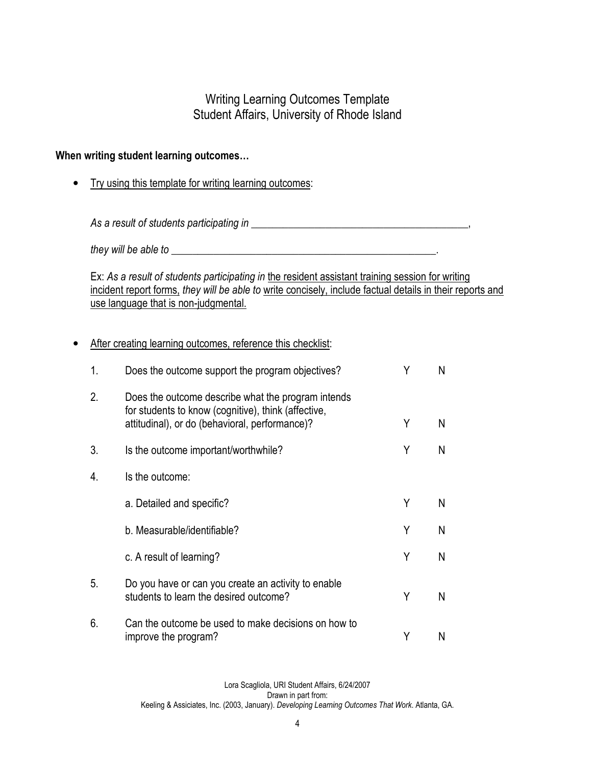# Writing Learning Outcomes Template Student Affairs, University of Rhode Island

## When writing student learning outcomes…

• Try using this template for writing learning outcomes:

As a result of students participating in \_\_\_\_\_\_\_\_\_\_\_\_\_\_\_\_\_\_\_\_\_\_\_\_\_\_\_\_\_\_\_\_\_\_\_\_\_\_\_\_\_,

they will be able to \_\_\_\_\_\_\_\_\_\_\_\_\_\_\_\_\_\_\_\_\_\_\_\_\_\_\_\_\_\_\_\_\_\_\_\_\_\_\_\_\_\_\_\_\_\_\_\_\_\_.

Ex: As a result of students participating in the resident assistant training session for writing incident report forms, they will be able to write concisely, include factual details in their reports and use language that is non-judgmental.

## • After creating learning outcomes, reference this checklist:

| 1. | Does the outcome support the program objectives?                                                                                                            | Υ | N |
|----|-------------------------------------------------------------------------------------------------------------------------------------------------------------|---|---|
| 2. | Does the outcome describe what the program intends<br>for students to know (cognitive), think (affective,<br>attitudinal), or do (behavioral, performance)? | Υ | N |
| 3. | Is the outcome important/worthwhile?                                                                                                                        | Υ | N |
| 4. | Is the outcome:                                                                                                                                             |   |   |
|    | a. Detailed and specific?                                                                                                                                   | Y | N |
|    | b. Measurable/identifiable?                                                                                                                                 | Y | N |
|    | c. A result of learning?                                                                                                                                    | Y | N |
| 5. | Do you have or can you create an activity to enable<br>students to learn the desired outcome?                                                               | Υ | N |
| 6. | Can the outcome be used to make decisions on how to<br>improve the program?                                                                                 | Υ | N |

Lora Scagliola, URI Student Affairs, 6/24/2007 Drawn in part from: Keeling & Assiciates, Inc. (2003, January). Developing Learning Outcomes That Work. Atlanta, GA.